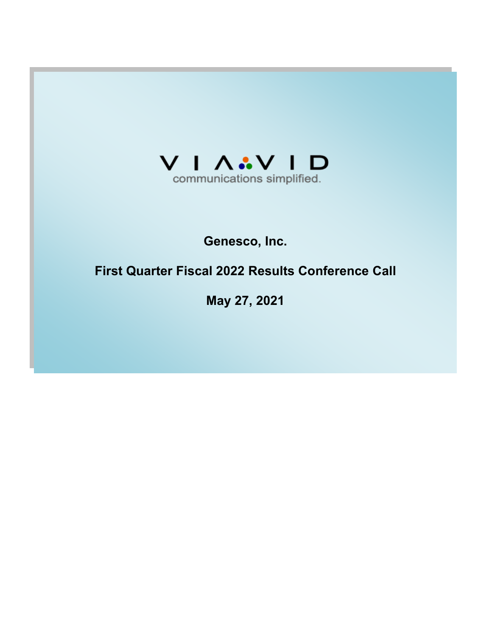

# **Genesco, Inc.**

# **First Quarter Fiscal 2022 Results Conference Call**

**May 27, 2021**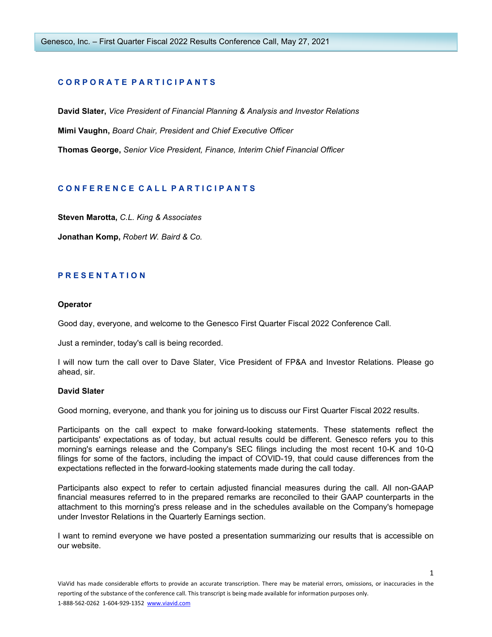# **C O R P O R A T E P A R T I C I P A N T S**

**David Slater,** *Vice President of Financial Planning & Analysis and Investor Relations* **Mimi Vaughn,** *Board Chair, President and Chief Executive Officer* **Thomas George,** *Senior Vice President, Finance, Interim Chief Financial Officer*

# **C O N F E R E N C E C A L L P A R T I C I P A N T S**

**Steven Marotta,** *C.L. King & Associates*

**Jonathan Komp,** *Robert W. Baird & Co.*

# **P R E S E N T A T I O N**

## **Operator**

Good day, everyone, and welcome to the Genesco First Quarter Fiscal 2022 Conference Call.

Just a reminder, today's call is being recorded.

I will now turn the call over to Dave Slater, Vice President of FP&A and Investor Relations. Please go ahead, sir.

# **David Slater**

Good morning, everyone, and thank you for joining us to discuss our First Quarter Fiscal 2022 results.

Participants on the call expect to make forward-looking statements. These statements reflect the participants' expectations as of today, but actual results could be different. Genesco refers you to this morning's earnings release and the Company's SEC filings including the most recent 10-K and 10-Q filings for some of the factors, including the impact of COVID-19, that could cause differences from the expectations reflected in the forward-looking statements made during the call today.

Participants also expect to refer to certain adjusted financial measures during the call. All non-GAAP financial measures referred to in the prepared remarks are reconciled to their GAAP counterparts in the attachment to this morning's press release and in the schedules available on the Company's homepage under Investor Relations in the Quarterly Earnings section.

I want to remind everyone we have posted a presentation summarizing our results that is accessible on our website.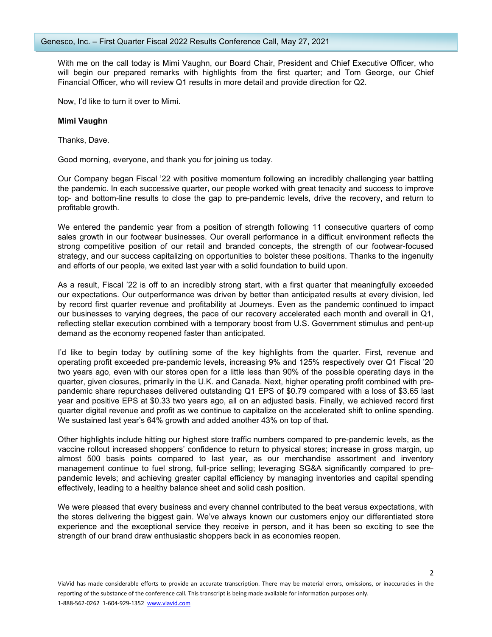With me on the call today is Mimi Vaughn, our Board Chair, President and Chief Executive Officer, who will begin our prepared remarks with highlights from the first quarter; and Tom George, our Chief Financial Officer, who will review Q1 results in more detail and provide direction for Q2.

Now, I'd like to turn it over to Mimi.

## **Mimi Vaughn**

Thanks, Dave.

Good morning, everyone, and thank you for joining us today.

Our Company began Fiscal '22 with positive momentum following an incredibly challenging year battling the pandemic. In each successive quarter, our people worked with great tenacity and success to improve top- and bottom-line results to close the gap to pre-pandemic levels, drive the recovery, and return to profitable growth.

We entered the pandemic year from a position of strength following 11 consecutive quarters of comp sales growth in our footwear businesses. Our overall performance in a difficult environment reflects the strong competitive position of our retail and branded concepts, the strength of our footwear-focused strategy, and our success capitalizing on opportunities to bolster these positions. Thanks to the ingenuity and efforts of our people, we exited last year with a solid foundation to build upon.

As a result, Fiscal '22 is off to an incredibly strong start, with a first quarter that meaningfully exceeded our expectations. Our outperformance was driven by better than anticipated results at every division, led by record first quarter revenue and profitability at Journeys. Even as the pandemic continued to impact our businesses to varying degrees, the pace of our recovery accelerated each month and overall in Q1, reflecting stellar execution combined with a temporary boost from U.S. Government stimulus and pent-up demand as the economy reopened faster than anticipated.

I'd like to begin today by outlining some of the key highlights from the quarter. First, revenue and operating profit exceeded pre-pandemic levels, increasing 9% and 125% respectively over Q1 Fiscal '20 two years ago, even with our stores open for a little less than 90% of the possible operating days in the quarter, given closures, primarily in the U.K. and Canada. Next, higher operating profit combined with prepandemic share repurchases delivered outstanding Q1 EPS of \$0.79 compared with a loss of \$3.65 last year and positive EPS at \$0.33 two years ago, all on an adjusted basis. Finally, we achieved record first quarter digital revenue and profit as we continue to capitalize on the accelerated shift to online spending. We sustained last year's 64% growth and added another 43% on top of that.

Other highlights include hitting our highest store traffic numbers compared to pre-pandemic levels, as the vaccine rollout increased shoppers' confidence to return to physical stores; increase in gross margin, up almost 500 basis points compared to last year, as our merchandise assortment and inventory management continue to fuel strong, full-price selling; leveraging SG&A significantly compared to prepandemic levels; and achieving greater capital efficiency by managing inventories and capital spending effectively, leading to a healthy balance sheet and solid cash position.

We were pleased that every business and every channel contributed to the beat versus expectations, with the stores delivering the biggest gain. We've always known our customers enjoy our differentiated store experience and the exceptional service they receive in person, and it has been so exciting to see the strength of our brand draw enthusiastic shoppers back in as economies reopen.

 $\overline{\phantom{a}}$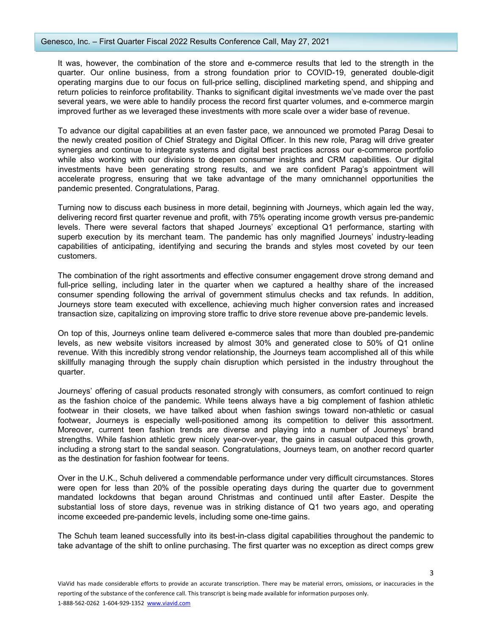## Genesco, Inc. – First Quarter Fiscal 2022 Results Conference Call, May 27, 2021

It was, however, the combination of the store and e-commerce results that led to the strength in the quarter. Our online business, from a strong foundation prior to COVID-19, generated double-digit operating margins due to our focus on full-price selling, disciplined marketing spend, and shipping and return policies to reinforce profitability. Thanks to significant digital investments we've made over the past several years, we were able to handily process the record first quarter volumes, and e-commerce margin improved further as we leveraged these investments with more scale over a wider base of revenue.

To advance our digital capabilities at an even faster pace, we announced we promoted Parag Desai to the newly created position of Chief Strategy and Digital Officer. In this new role, Parag will drive greater synergies and continue to integrate systems and digital best practices across our e-commerce portfolio while also working with our divisions to deepen consumer insights and CRM capabilities. Our digital investments have been generating strong results, and we are confident Parag's appointment will accelerate progress, ensuring that we take advantage of the many omnichannel opportunities the pandemic presented. Congratulations, Parag.

Turning now to discuss each business in more detail, beginning with Journeys, which again led the way, delivering record first quarter revenue and profit, with 75% operating income growth versus pre-pandemic levels. There were several factors that shaped Journeys' exceptional Q1 performance, starting with superb execution by its merchant team. The pandemic has only magnified Journeys' industry-leading capabilities of anticipating, identifying and securing the brands and styles most coveted by our teen customers.

The combination of the right assortments and effective consumer engagement drove strong demand and full-price selling, including later in the quarter when we captured a healthy share of the increased consumer spending following the arrival of government stimulus checks and tax refunds. In addition, Journeys store team executed with excellence, achieving much higher conversion rates and increased transaction size, capitalizing on improving store traffic to drive store revenue above pre-pandemic levels.

On top of this, Journeys online team delivered e-commerce sales that more than doubled pre-pandemic levels, as new website visitors increased by almost 30% and generated close to 50% of Q1 online revenue. With this incredibly strong vendor relationship, the Journeys team accomplished all of this while skillfully managing through the supply chain disruption which persisted in the industry throughout the quarter.

Journeys' offering of casual products resonated strongly with consumers, as comfort continued to reign as the fashion choice of the pandemic. While teens always have a big complement of fashion athletic footwear in their closets, we have talked about when fashion swings toward non-athletic or casual footwear, Journeys is especially well-positioned among its competition to deliver this assortment. Moreover, current teen fashion trends are diverse and playing into a number of Journeys' brand strengths. While fashion athletic grew nicely year-over-year, the gains in casual outpaced this growth, including a strong start to the sandal season. Congratulations, Journeys team, on another record quarter as the destination for fashion footwear for teens.

Over in the U.K., Schuh delivered a commendable performance under very difficult circumstances. Stores were open for less than 20% of the possible operating days during the quarter due to government mandated lockdowns that began around Christmas and continued until after Easter. Despite the substantial loss of store days, revenue was in striking distance of Q1 two years ago, and operating income exceeded pre-pandemic levels, including some one-time gains.

The Schuh team leaned successfully into its best-in-class digital capabilities throughout the pandemic to take advantage of the shift to online purchasing. The first quarter was no exception as direct comps grew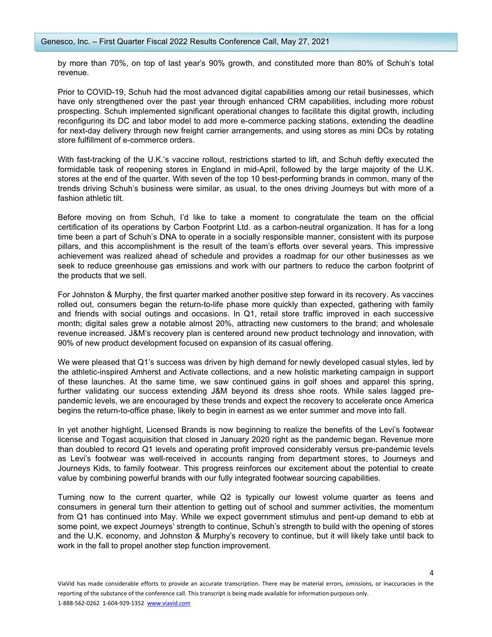by more than 70%, on top of last year's 90% growth, and constituted more than 80% of Schuh's total revenue.

Prior to COVID-19, Schuh had the most advanced digital capabilities among our retail businesses, which have only strengthened over the past year through enhanced CRM capabilities, including more robust prospecting. Schuh implemented significant operational changes to facilitate this digital growth, including reconfiguring its DC and labor model to add more e-commerce packing stations, extending the deadline for next-day delivery through new freight carrier arrangements, and using stores as mini DCs by rotating store fulfillment of e-commerce orders.

With fast-tracking of the U.K.'s vaccine rollout, restrictions started to lift, and Schuh deftly executed the formidable task of reopening stores in England in mid-April, followed by the large majority of the U.K. stores at the end of the quarter. With seven of the top 10 best-performing brands in common, many of the trends driving Schuh's business were similar, as usual, to the ones driving Journeys but with more of a fashion athletic tilt.

Before moving on from Schuh, I'd like to take a moment to congratulate the team on the official certification of its operations by Carbon Footprint Ltd. as a carbon-neutral organization. It has for a long time been a part of Schuh's DNA to operate in a socially responsible manner, consistent with its purpose pillars, and this accomplishment is the result of the team's efforts over several years. This impressive achievement was realized ahead of schedule and provides a roadmap for our other businesses as we seek to reduce greenhouse gas emissions and work with our partners to reduce the carbon footprint of the products that we sell.

For Johnston & Murphy, the first quarter marked another positive step forward in its recovery. As vaccines rolled out, consumers began the return-to-life phase more quickly than expected, gathering with family and friends with social outings and occasions. In Q1, retail store traffic improved in each successive month; digital sales grew a notable almost 20%, attracting new customers to the brand; and wholesale revenue increased. J&M's recovery plan is centered around new product technology and innovation, with 90% of new product development focused on expansion of its casual offering.

We were pleased that Q1's success was driven by high demand for newly developed casual styles, led by the athletic-inspired Amherst and Activate collections, and a new holistic marketing campaign in support of these launches. At the same time, we saw continued gains in golf shoes and apparel this spring, further validating our success extending J&M beyond its dress shoe roots. While sales lagged prepandemic levels, we are encouraged by these trends and expect the recovery to accelerate once America begins the return-to-office phase, likely to begin in earnest as we enter summer and move into fall.

In yet another highlight, Licensed Brands is now beginning to realize the benefits of the Levi's footwear license and Togast acquisition that closed in January 2020 right as the pandemic began. Revenue more than doubled to record Q1 levels and operating profit improved considerably versus pre-pandemic levels as Levi's footwear was well-received in accounts ranging from department stores, to Journeys and Journeys Kids, to family footwear. This progress reinforces our excitement about the potential to create value by combining powerful brands with our fully integrated footwear sourcing capabilities.

Turning now to the current quarter, while Q2 is typically our lowest volume quarter as teens and consumers in general turn their attention to getting out of school and summer activities, the momentum from Q1 has continued into May. While we expect government stimulus and pent-up demand to ebb at some point, we expect Journeys' strength to continue, Schuh's strength to build with the opening of stores and the U.K. economy, and Johnston & Murphy's recovery to continue, but it will likely take until back to work in the fall to propel another step function improvement.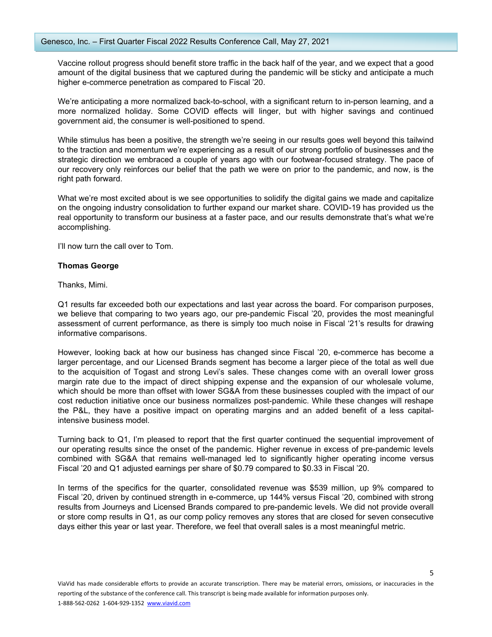Vaccine rollout progress should benefit store traffic in the back half of the year, and we expect that a good amount of the digital business that we captured during the pandemic will be sticky and anticipate a much higher e-commerce penetration as compared to Fiscal '20.

We're anticipating a more normalized back-to-school, with a significant return to in-person learning, and a more normalized holiday. Some COVID effects will linger, but with higher savings and continued government aid, the consumer is well-positioned to spend.

While stimulus has been a positive, the strength we're seeing in our results goes well beyond this tailwind to the traction and momentum we're experiencing as a result of our strong portfolio of businesses and the strategic direction we embraced a couple of years ago with our footwear-focused strategy. The pace of our recovery only reinforces our belief that the path we were on prior to the pandemic, and now, is the right path forward.

What we're most excited about is we see opportunities to solidify the digital gains we made and capitalize on the ongoing industry consolidation to further expand our market share. COVID-19 has provided us the real opportunity to transform our business at a faster pace, and our results demonstrate that's what we're accomplishing.

I'll now turn the call over to Tom.

## **Thomas George**

Thanks, Mimi.

Q1 results far exceeded both our expectations and last year across the board. For comparison purposes, we believe that comparing to two years ago, our pre-pandemic Fiscal '20, provides the most meaningful assessment of current performance, as there is simply too much noise in Fiscal '21's results for drawing informative comparisons.

However, looking back at how our business has changed since Fiscal '20, e-commerce has become a larger percentage, and our Licensed Brands segment has become a larger piece of the total as well due to the acquisition of Togast and strong Levi's sales. These changes come with an overall lower gross margin rate due to the impact of direct shipping expense and the expansion of our wholesale volume, which should be more than offset with lower SG&A from these businesses coupled with the impact of our cost reduction initiative once our business normalizes post-pandemic. While these changes will reshape the P&L, they have a positive impact on operating margins and an added benefit of a less capitalintensive business model.

Turning back to Q1, I'm pleased to report that the first quarter continued the sequential improvement of our operating results since the onset of the pandemic. Higher revenue in excess of pre-pandemic levels combined with SG&A that remains well-managed led to significantly higher operating income versus Fiscal '20 and Q1 adjusted earnings per share of \$0.79 compared to \$0.33 in Fiscal '20.

In terms of the specifics for the quarter, consolidated revenue was \$539 million, up 9% compared to Fiscal '20, driven by continued strength in e-commerce, up 144% versus Fiscal '20, combined with strong results from Journeys and Licensed Brands compared to pre-pandemic levels. We did not provide overall or store comp results in Q1, as our comp policy removes any stores that are closed for seven consecutive days either this year or last year. Therefore, we feel that overall sales is a most meaningful metric.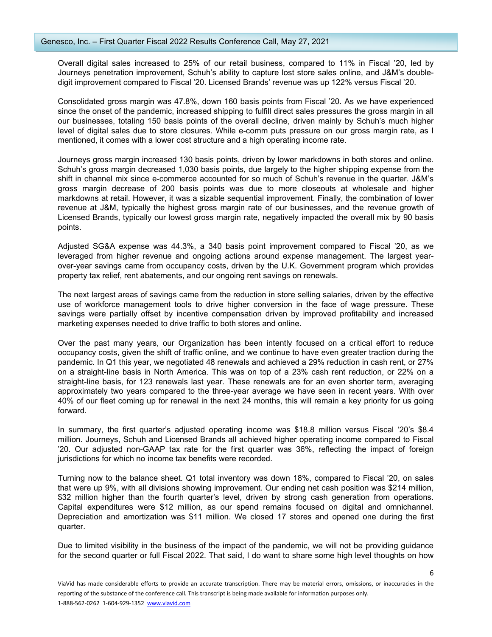Overall digital sales increased to 25% of our retail business, compared to 11% in Fiscal '20, led by Journeys penetration improvement, Schuh's ability to capture lost store sales online, and J&M's doubledigit improvement compared to Fiscal '20. Licensed Brands' revenue was up 122% versus Fiscal '20.

Consolidated gross margin was 47.8%, down 160 basis points from Fiscal '20. As we have experienced since the onset of the pandemic, increased shipping to fulfill direct sales pressures the gross margin in all our businesses, totaling 150 basis points of the overall decline, driven mainly by Schuh's much higher level of digital sales due to store closures. While e-comm puts pressure on our gross margin rate, as I mentioned, it comes with a lower cost structure and a high operating income rate.

Journeys gross margin increased 130 basis points, driven by lower markdowns in both stores and online. Schuh's gross margin decreased 1,030 basis points, due largely to the higher shipping expense from the shift in channel mix since e-commerce accounted for so much of Schuh's revenue in the quarter. J&M's gross margin decrease of 200 basis points was due to more closeouts at wholesale and higher markdowns at retail. However, it was a sizable sequential improvement. Finally, the combination of lower revenue at J&M, typically the highest gross margin rate of our businesses, and the revenue growth of Licensed Brands, typically our lowest gross margin rate, negatively impacted the overall mix by 90 basis points.

Adjusted SG&A expense was 44.3%, a 340 basis point improvement compared to Fiscal '20, as we leveraged from higher revenue and ongoing actions around expense management. The largest yearover-year savings came from occupancy costs, driven by the U.K. Government program which provides property tax relief, rent abatements, and our ongoing rent savings on renewals.

The next largest areas of savings came from the reduction in store selling salaries, driven by the effective use of workforce management tools to drive higher conversion in the face of wage pressure. These savings were partially offset by incentive compensation driven by improved profitability and increased marketing expenses needed to drive traffic to both stores and online.

Over the past many years, our Organization has been intently focused on a critical effort to reduce occupancy costs, given the shift of traffic online, and we continue to have even greater traction during the pandemic. In Q1 this year, we negotiated 48 renewals and achieved a 29% reduction in cash rent, or 27% on a straight-line basis in North America. This was on top of a 23% cash rent reduction, or 22% on a straight-line basis, for 123 renewals last year. These renewals are for an even shorter term, averaging approximately two years compared to the three-year average we have seen in recent years. With over 40% of our fleet coming up for renewal in the next 24 months, this will remain a key priority for us going forward.

In summary, the first quarter's adjusted operating income was \$18.8 million versus Fiscal '20's \$8.4 million. Journeys, Schuh and Licensed Brands all achieved higher operating income compared to Fiscal '20. Our adjusted non-GAAP tax rate for the first quarter was 36%, reflecting the impact of foreign jurisdictions for which no income tax benefits were recorded.

Turning now to the balance sheet. Q1 total inventory was down 18%, compared to Fiscal '20, on sales that were up 9%, with all divisions showing improvement. Our ending net cash position was \$214 million, \$32 million higher than the fourth quarter's level, driven by strong cash generation from operations. Capital expenditures were \$12 million, as our spend remains focused on digital and omnichannel. Depreciation and amortization was \$11 million. We closed 17 stores and opened one during the first quarter.

Due to limited visibility in the business of the impact of the pandemic, we will not be providing guidance for the second quarter or full Fiscal 2022. That said, I do want to share some high level thoughts on how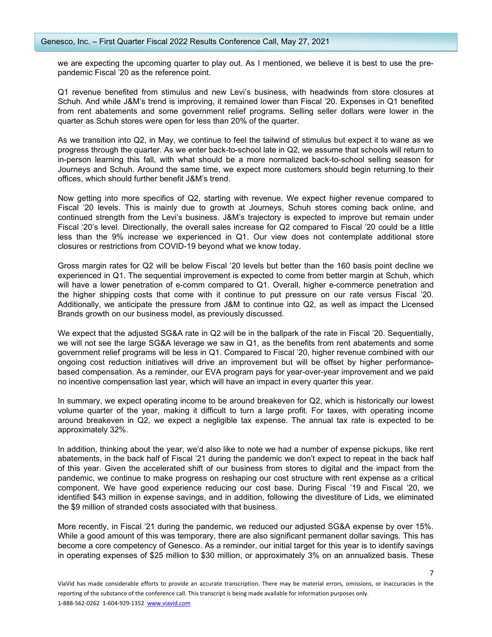we are expecting the upcoming quarter to play out. As I mentioned, we believe it is best to use the prepandemic Fiscal '20 as the reference point.

Q1 revenue benefited from stimulus and new Levi's business, with headwinds from store closures at Schuh. And while J&M's trend is improving, it remained lower than Fiscal '20. Expenses in Q1 benefited from rent abatements and some government relief programs. Selling seller dollars were lower in the quarter as Schuh stores were open for less than 20% of the quarter.

As we transition into Q2, in May, we continue to feel the tailwind of stimulus but expect it to wane as we progress through the quarter. As we enter back-to-school late in Q2, we assume that schools will return to in-person learning this fall, with what should be a more normalized back-to-school selling season for Journeys and Schuh. Around the same time, we expect more customers should begin returning to their offices, which should further benefit J&M's trend.

Now getting into more specifics of Q2, starting with revenue. We expect higher revenue compared to Fiscal '20 levels. This is mainly due to growth at Journeys, Schuh stores coming back online, and continued strength from the Levi's business. J&M's trajectory is expected to improve but remain under Fiscal '20's level. Directionally, the overall sales increase for Q2 compared to Fiscal '20 could be a little less than the 9% increase we experienced in Q1. Our view does not contemplate additional store closures or restrictions from COVID-19 beyond what we know today.

Gross margin rates for Q2 will be below Fiscal '20 levels but better than the 160 basis point decline we experienced in Q1. The sequential improvement is expected to come from better margin at Schuh, which will have a lower penetration of e-comm compared to Q1. Overall, higher e-commerce penetration and the higher shipping costs that come with it continue to put pressure on our rate versus Fiscal '20. Additionally, we anticipate the pressure from J&M to continue into Q2, as well as impact the Licensed Brands growth on our business model, as previously discussed.

We expect that the adjusted SG&A rate in Q2 will be in the ballpark of the rate in Fiscal '20. Sequentially, we will not see the large SG&A leverage we saw in Q1, as the benefits from rent abatements and some government relief programs will be less in Q1. Compared to Fiscal '20, higher revenue combined with our ongoing cost reduction initiatives will drive an improvement but will be offset by higher performancebased compensation. As a reminder, our EVA program pays for year-over-year improvement and we paid no incentive compensation last year, which will have an impact in every quarter this year.

In summary, we expect operating income to be around breakeven for Q2, which is historically our lowest volume quarter of the year, making it difficult to turn a large profit. For taxes, with operating income around breakeven in Q2, we expect a negligible tax expense. The annual tax rate is expected to be approximately 32%.

In addition, thinking about the year, we'd also like to note we had a number of expense pickups, like rent abatements, in the back half of Fiscal '21 during the pandemic we don't expect to repeat in the back half of this year. Given the accelerated shift of our business from stores to digital and the impact from the pandemic, we continue to make progress on reshaping our cost structure with rent expense as a critical component. We have good experience reducing our cost base. During Fiscal '19 and Fiscal '20, we identified \$43 million in expense savings, and in addition, following the divestiture of Lids, we eliminated the \$9 million of stranded costs associated with that business.

More recently, in Fiscal '21 during the pandemic, we reduced our adjusted SG&A expense by over 15%. While a good amount of this was temporary, there are also significant permanent dollar savings. This has become a core competency of Genesco. As a reminder, our initial target for this year is to identify savings in operating expenses of \$25 million to \$30 million, or approximately 3% on an annualized basis. These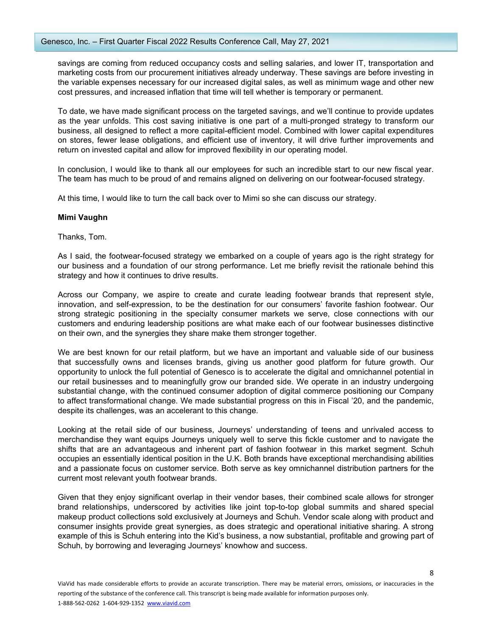savings are coming from reduced occupancy costs and selling salaries, and lower IT, transportation and marketing costs from our procurement initiatives already underway. These savings are before investing in the variable expenses necessary for our increased digital sales, as well as minimum wage and other new cost pressures, and increased inflation that time will tell whether is temporary or permanent.

To date, we have made significant process on the targeted savings, and we'll continue to provide updates as the year unfolds. This cost saving initiative is one part of a multi-pronged strategy to transform our business, all designed to reflect a more capital-efficient model. Combined with lower capital expenditures on stores, fewer lease obligations, and efficient use of inventory, it will drive further improvements and return on invested capital and allow for improved flexibility in our operating model.

In conclusion, I would like to thank all our employees for such an incredible start to our new fiscal year. The team has much to be proud of and remains aligned on delivering on our footwear-focused strategy.

At this time, I would like to turn the call back over to Mimi so she can discuss our strategy.

## **Mimi Vaughn**

#### Thanks, Tom.

As I said, the footwear-focused strategy we embarked on a couple of years ago is the right strategy for our business and a foundation of our strong performance. Let me briefly revisit the rationale behind this strategy and how it continues to drive results.

Across our Company, we aspire to create and curate leading footwear brands that represent style, innovation, and self-expression, to be the destination for our consumers' favorite fashion footwear. Our strong strategic positioning in the specialty consumer markets we serve, close connections with our customers and enduring leadership positions are what make each of our footwear businesses distinctive on their own, and the synergies they share make them stronger together.

We are best known for our retail platform, but we have an important and valuable side of our business that successfully owns and licenses brands, giving us another good platform for future growth. Our opportunity to unlock the full potential of Genesco is to accelerate the digital and omnichannel potential in our retail businesses and to meaningfully grow our branded side. We operate in an industry undergoing substantial change, with the continued consumer adoption of digital commerce positioning our Company to affect transformational change. We made substantial progress on this in Fiscal '20, and the pandemic, despite its challenges, was an accelerant to this change.

Looking at the retail side of our business, Journeys' understanding of teens and unrivaled access to merchandise they want equips Journeys uniquely well to serve this fickle customer and to navigate the shifts that are an advantageous and inherent part of fashion footwear in this market segment. Schuh occupies an essentially identical position in the U.K. Both brands have exceptional merchandising abilities and a passionate focus on customer service. Both serve as key omnichannel distribution partners for the current most relevant youth footwear brands.

Given that they enjoy significant overlap in their vendor bases, their combined scale allows for stronger brand relationships, underscored by activities like joint top-to-top global summits and shared special makeup product collections sold exclusively at Journeys and Schuh. Vendor scale along with product and consumer insights provide great synergies, as does strategic and operational initiative sharing. A strong example of this is Schuh entering into the Kid's business, a now substantial, profitable and growing part of Schuh, by borrowing and leveraging Journeys' knowhow and success.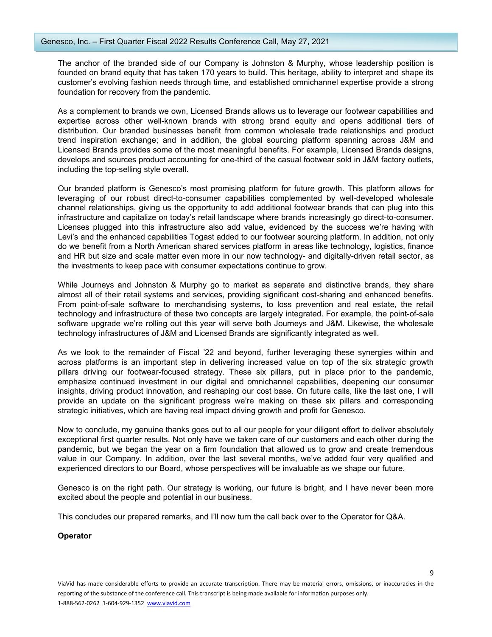The anchor of the branded side of our Company is Johnston & Murphy, whose leadership position is founded on brand equity that has taken 170 years to build. This heritage, ability to interpret and shape its customer's evolving fashion needs through time, and established omnichannel expertise provide a strong foundation for recovery from the pandemic.

As a complement to brands we own, Licensed Brands allows us to leverage our footwear capabilities and expertise across other well-known brands with strong brand equity and opens additional tiers of distribution. Our branded businesses benefit from common wholesale trade relationships and product trend inspiration exchange; and in addition, the global sourcing platform spanning across J&M and Licensed Brands provides some of the most meaningful benefits. For example, Licensed Brands designs, develops and sources product accounting for one-third of the casual footwear sold in J&M factory outlets, including the top-selling style overall.

Our branded platform is Genesco's most promising platform for future growth. This platform allows for leveraging of our robust direct-to-consumer capabilities complemented by well-developed wholesale channel relationships, giving us the opportunity to add additional footwear brands that can plug into this infrastructure and capitalize on today's retail landscape where brands increasingly go direct-to-consumer. Licenses plugged into this infrastructure also add value, evidenced by the success we're having with Levi's and the enhanced capabilities Togast added to our footwear sourcing platform. In addition, not only do we benefit from a North American shared services platform in areas like technology, logistics, finance and HR but size and scale matter even more in our now technology- and digitally-driven retail sector, as the investments to keep pace with consumer expectations continue to grow.

While Journeys and Johnston & Murphy go to market as separate and distinctive brands, they share almost all of their retail systems and services, providing significant cost-sharing and enhanced benefits. From point-of-sale software to merchandising systems, to loss prevention and real estate, the retail technology and infrastructure of these two concepts are largely integrated. For example, the point-of-sale software upgrade we're rolling out this year will serve both Journeys and J&M. Likewise, the wholesale technology infrastructures of J&M and Licensed Brands are significantly integrated as well.

As we look to the remainder of Fiscal '22 and beyond, further leveraging these synergies within and across platforms is an important step in delivering increased value on top of the six strategic growth pillars driving our footwear-focused strategy. These six pillars, put in place prior to the pandemic, emphasize continued investment in our digital and omnichannel capabilities, deepening our consumer insights, driving product innovation, and reshaping our cost base. On future calls, like the last one, I will provide an update on the significant progress we're making on these six pillars and corresponding strategic initiatives, which are having real impact driving growth and profit for Genesco.

Now to conclude, my genuine thanks goes out to all our people for your diligent effort to deliver absolutely exceptional first quarter results. Not only have we taken care of our customers and each other during the pandemic, but we began the year on a firm foundation that allowed us to grow and create tremendous value in our Company. In addition, over the last several months, we've added four very qualified and experienced directors to our Board, whose perspectives will be invaluable as we shape our future.

Genesco is on the right path. Our strategy is working, our future is bright, and I have never been more excited about the people and potential in our business.

This concludes our prepared remarks, and I'll now turn the call back over to the Operator for Q&A.

# **Operator**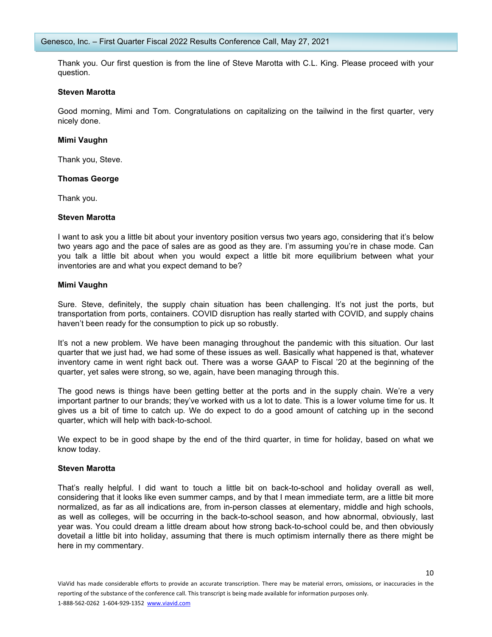Thank you. Our first question is from the line of Steve Marotta with C.L. King. Please proceed with your question.

## **Steven Marotta**

Good morning, Mimi and Tom. Congratulations on capitalizing on the tailwind in the first quarter, very nicely done.

# **Mimi Vaughn**

Thank you, Steve.

# **Thomas George**

Thank you.

## **Steven Marotta**

I want to ask you a little bit about your inventory position versus two years ago, considering that it's below two years ago and the pace of sales are as good as they are. I'm assuming you're in chase mode. Can you talk a little bit about when you would expect a little bit more equilibrium between what your inventories are and what you expect demand to be?

# **Mimi Vaughn**

Sure. Steve, definitely, the supply chain situation has been challenging. It's not just the ports, but transportation from ports, containers. COVID disruption has really started with COVID, and supply chains haven't been ready for the consumption to pick up so robustly.

It's not a new problem. We have been managing throughout the pandemic with this situation. Our last quarter that we just had, we had some of these issues as well. Basically what happened is that, whatever inventory came in went right back out. There was a worse GAAP to Fiscal '20 at the beginning of the quarter, yet sales were strong, so we, again, have been managing through this.

The good news is things have been getting better at the ports and in the supply chain. We're a very important partner to our brands; they've worked with us a lot to date. This is a lower volume time for us. It gives us a bit of time to catch up. We do expect to do a good amount of catching up in the second quarter, which will help with back-to-school.

We expect to be in good shape by the end of the third quarter, in time for holiday, based on what we know today.

#### **Steven Marotta**

That's really helpful. I did want to touch a little bit on back-to-school and holiday overall as well, considering that it looks like even summer camps, and by that I mean immediate term, are a little bit more normalized, as far as all indications are, from in-person classes at elementary, middle and high schools, as well as colleges, will be occurring in the back-to-school season, and how abnormal, obviously, last year was. You could dream a little dream about how strong back-to-school could be, and then obviously dovetail a little bit into holiday, assuming that there is much optimism internally there as there might be here in my commentary.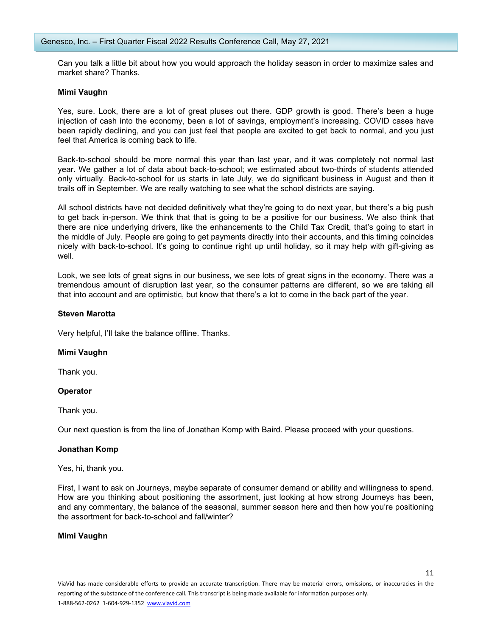Can you talk a little bit about how you would approach the holiday season in order to maximize sales and market share? Thanks.

## **Mimi Vaughn**

Yes, sure. Look, there are a lot of great pluses out there. GDP growth is good. There's been a huge injection of cash into the economy, been a lot of savings, employment's increasing. COVID cases have been rapidly declining, and you can just feel that people are excited to get back to normal, and you just feel that America is coming back to life.

Back-to-school should be more normal this year than last year, and it was completely not normal last year. We gather a lot of data about back-to-school; we estimated about two-thirds of students attended only virtually. Back-to-school for us starts in late July, we do significant business in August and then it trails off in September. We are really watching to see what the school districts are saying.

All school districts have not decided definitively what they're going to do next year, but there's a big push to get back in-person. We think that that is going to be a positive for our business. We also think that there are nice underlying drivers, like the enhancements to the Child Tax Credit, that's going to start in the middle of July. People are going to get payments directly into their accounts, and this timing coincides nicely with back-to-school. It's going to continue right up until holiday, so it may help with gift-giving as well.

Look, we see lots of great signs in our business, we see lots of great signs in the economy. There was a tremendous amount of disruption last year, so the consumer patterns are different, so we are taking all that into account and are optimistic, but know that there's a lot to come in the back part of the year.

## **Steven Marotta**

Very helpful, I'll take the balance offline. Thanks.

#### **Mimi Vaughn**

Thank you.

# **Operator**

Thank you.

Our next question is from the line of Jonathan Komp with Baird. Please proceed with your questions.

#### **Jonathan Komp**

Yes, hi, thank you.

First, I want to ask on Journeys, maybe separate of consumer demand or ability and willingness to spend. How are you thinking about positioning the assortment, just looking at how strong Journeys has been, and any commentary, the balance of the seasonal, summer season here and then how you're positioning the assortment for back-to-school and fall/winter?

# **Mimi Vaughn**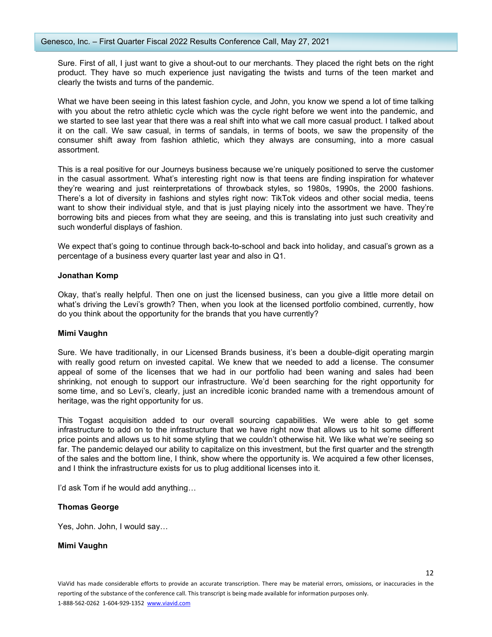Sure. First of all, I just want to give a shout-out to our merchants. They placed the right bets on the right product. They have so much experience just navigating the twists and turns of the teen market and clearly the twists and turns of the pandemic.

What we have been seeing in this latest fashion cycle, and John, you know we spend a lot of time talking with you about the retro athletic cycle which was the cycle right before we went into the pandemic, and we started to see last year that there was a real shift into what we call more casual product. I talked about it on the call. We saw casual, in terms of sandals, in terms of boots, we saw the propensity of the consumer shift away from fashion athletic, which they always are consuming, into a more casual assortment.

This is a real positive for our Journeys business because we're uniquely positioned to serve the customer in the casual assortment. What's interesting right now is that teens are finding inspiration for whatever they're wearing and just reinterpretations of throwback styles, so 1980s, 1990s, the 2000 fashions. There's a lot of diversity in fashions and styles right now: TikTok videos and other social media, teens want to show their individual style, and that is just playing nicely into the assortment we have. They're borrowing bits and pieces from what they are seeing, and this is translating into just such creativity and such wonderful displays of fashion.

We expect that's going to continue through back-to-school and back into holiday, and casual's grown as a percentage of a business every quarter last year and also in Q1.

## **Jonathan Komp**

Okay, that's really helpful. Then one on just the licensed business, can you give a little more detail on what's driving the Levi's growth? Then, when you look at the licensed portfolio combined, currently, how do you think about the opportunity for the brands that you have currently?

# **Mimi Vaughn**

Sure. We have traditionally, in our Licensed Brands business, it's been a double-digit operating margin with really good return on invested capital. We knew that we needed to add a license. The consumer appeal of some of the licenses that we had in our portfolio had been waning and sales had been shrinking, not enough to support our infrastructure. We'd been searching for the right opportunity for some time, and so Levi's, clearly, just an incredible iconic branded name with a tremendous amount of heritage, was the right opportunity for us.

This Togast acquisition added to our overall sourcing capabilities. We were able to get some infrastructure to add on to the infrastructure that we have right now that allows us to hit some different price points and allows us to hit some styling that we couldn't otherwise hit. We like what we're seeing so far. The pandemic delayed our ability to capitalize on this investment, but the first quarter and the strength of the sales and the bottom line, I think, show where the opportunity is. We acquired a few other licenses, and I think the infrastructure exists for us to plug additional licenses into it.

I'd ask Tom if he would add anything…

# **Thomas George**

Yes, John. John, I would say…

#### **Mimi Vaughn**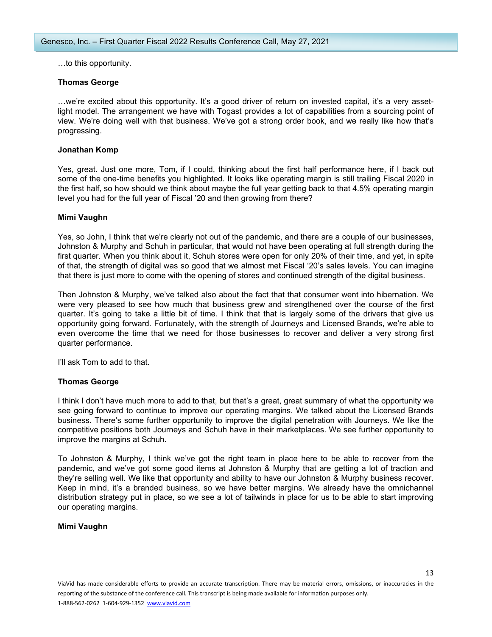…to this opportunity.

# **Thomas George**

…we're excited about this opportunity. It's a good driver of return on invested capital, it's a very assetlight model. The arrangement we have with Togast provides a lot of capabilities from a sourcing point of view. We're doing well with that business. We've got a strong order book, and we really like how that's progressing.

## **Jonathan Komp**

Yes, great. Just one more, Tom, if I could, thinking about the first half performance here, if I back out some of the one-time benefits you highlighted. It looks like operating margin is still trailing Fiscal 2020 in the first half, so how should we think about maybe the full year getting back to that 4.5% operating margin level you had for the full year of Fiscal '20 and then growing from there?

## **Mimi Vaughn**

Yes, so John, I think that we're clearly not out of the pandemic, and there are a couple of our businesses, Johnston & Murphy and Schuh in particular, that would not have been operating at full strength during the first quarter. When you think about it, Schuh stores were open for only 20% of their time, and yet, in spite of that, the strength of digital was so good that we almost met Fiscal '20's sales levels. You can imagine that there is just more to come with the opening of stores and continued strength of the digital business.

Then Johnston & Murphy, we've talked also about the fact that that consumer went into hibernation. We were very pleased to see how much that business grew and strengthened over the course of the first quarter. It's going to take a little bit of time. I think that that is largely some of the drivers that give us opportunity going forward. Fortunately, with the strength of Journeys and Licensed Brands, we're able to even overcome the time that we need for those businesses to recover and deliver a very strong first quarter performance.

I'll ask Tom to add to that.

# **Thomas George**

I think I don't have much more to add to that, but that's a great, great summary of what the opportunity we see going forward to continue to improve our operating margins. We talked about the Licensed Brands business. There's some further opportunity to improve the digital penetration with Journeys. We like the competitive positions both Journeys and Schuh have in their marketplaces. We see further opportunity to improve the margins at Schuh.

To Johnston & Murphy, I think we've got the right team in place here to be able to recover from the pandemic, and we've got some good items at Johnston & Murphy that are getting a lot of traction and they're selling well. We like that opportunity and ability to have our Johnston & Murphy business recover. Keep in mind, it's a branded business, so we have better margins. We already have the omnichannel distribution strategy put in place, so we see a lot of tailwinds in place for us to be able to start improving our operating margins.

#### **Mimi Vaughn**